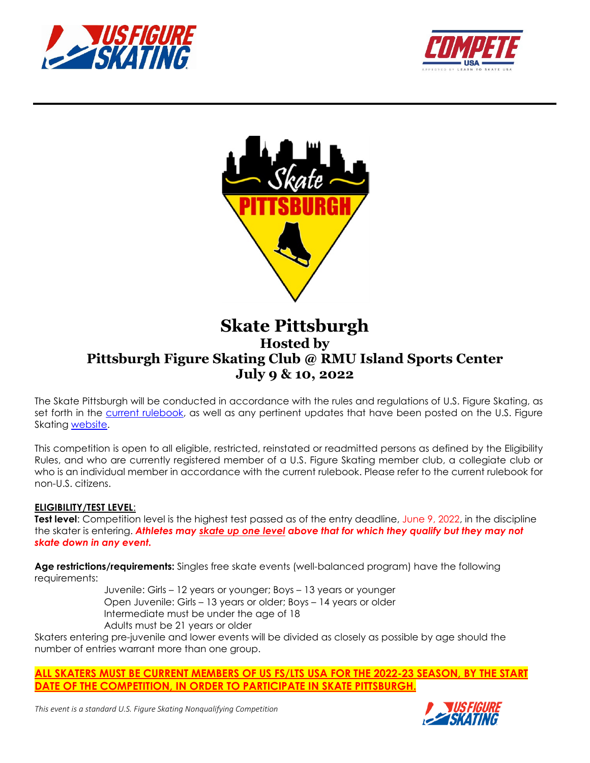





# **Skate Pittsburgh Hosted by Pittsburgh Figure Skating Club @ RMU Island Sports Center July 9 & 10, 2022**

The Skate Pittsburgh will be conducted in accordance with the rules and regulations of U.S. Figure Skating, as set forth in the **current rulebook**, as well as any pertinent updates that have been posted on the U.S. Figure Skating [website.](https://www.usfigureskating.org/members-only/members/technical-notifications)

This competition is open to all eligible, restricted, reinstated or readmitted persons as defined by the Eligibility Rules, and who are currently registered member of a U.S. Figure Skating member club, a collegiate club or who is an individual member in accordance with the current rulebook. Please refer to the current rulebook for non-U.S. citizens.

#### **ELIGIBILITY/TEST LEVEL**:

**Test level**: Competition level is the highest test passed as of the entry deadline, June 9, 2022, in the discipline the skater is entering. *Athletes may skate up one level above that for which they qualify but they may not skate down in any event.*

**Age restrictions/requirements:** Singles free skate events (well-balanced program) have the following requirements:

Juvenile: Girls – 12 years or younger; Boys – 13 years or younger Open Juvenile: Girls – 13 years or older; Boys – 14 years or older Intermediate must be under the age of 18 Adults must be 21 years or older

Skaters entering pre-juvenile and lower events will be divided as closely as possible by age should the number of entries warrant more than one group.

# **ALL SKATERS MUST BE CURRENT MEMBERS OF US FS/LTS USA FOR THE 2022-23 SEASON, BY THE START DATE OF THE COMPETITION, IN ORDER TO PARTICIPATE IN SKATE PITTSBURGH.**

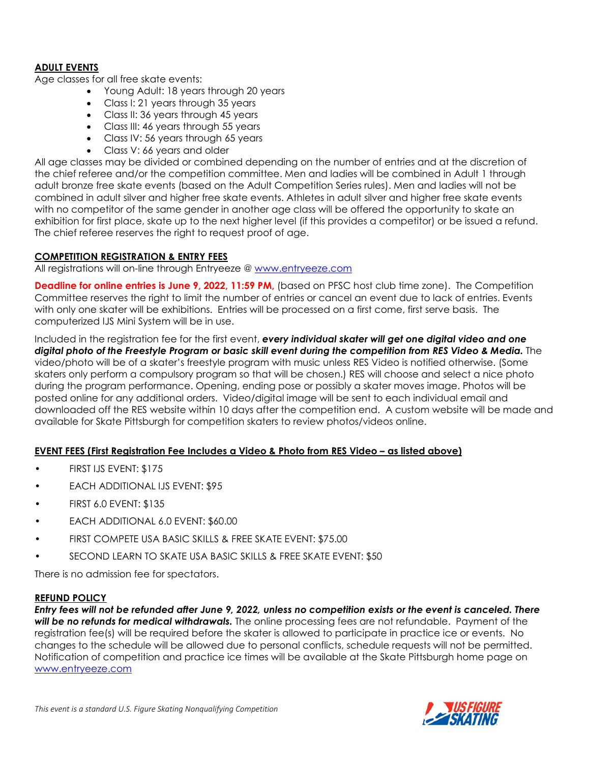# **ADULT EVENTS**

Age classes for all free skate events:

- Young Adult: 18 years through 20 years
- Class I: 21 years through 35 years
- Class II: 36 years through 45 years
- Class III: 46 years through 55 years
- Class IV: 56 years through 65 years
- Class V: 66 years and older

All age classes may be divided or combined depending on the number of entries and at the discretion of the chief referee and/or the competition committee. Men and ladies will be combined in Adult 1 through adult bronze free skate events (based on the Adult Competition Series rules). Men and ladies will not be combined in adult silver and higher free skate events. Athletes in adult silver and higher free skate events with no competitor of the same gender in another age class will be offered the opportunity to skate an exhibition for first place, skate up to the next higher level (if this provides a competitor) or be issued a refund. The chief referee reserves the right to request proof of age.

#### **COMPETITION REGISTRATION & ENTRY FEES**

All registrations will on-line through Entryeeze @ [www.entryeeze.com](http://comp.entryeeze.com/Home.aspx?cid=245)

**Deadline for online entries is June 9, 2022, 11:59 PM, (based on PFSC host club time zone). The Competition** Committee reserves the right to limit the number of entries or cancel an event due to lack of entries. Events with only one skater will be exhibitions. Entries will be processed on a first come, first serve basis. The computerized IJS Mini System will be in use.

Included in the registration fee for the first event, *every individual skater will get one digital video and one digital photo of the Freestyle Program or basic skill event during the competition from RES Video & Media.* The video/photo will be of a skater's freestyle program with music unless RES Video is notified otherwise. (Some skaters only perform a compulsory program so that will be chosen.) RES will choose and select a nice photo during the program performance. Opening, ending pose or possibly a skater moves image. Photos will be posted online for any additional orders. Video/digital image will be sent to each individual email and downloaded off the RES website within 10 days after the competition end. A custom website will be made and available for Skate Pittsburgh for competition skaters to review photos/videos online.

# **EVENT FEES (First Registration Fee Includes a Video & Photo from RES Video – as listed above)**

- FIRST IJS EVENT: \$175
- EACH ADDITIONAL IJS EVENT: \$95
- FIRST 6.0 EVENT: \$135
- EACH ADDITIONAL 6.0 EVENT: \$60.00
- FIRST COMPETE USA BASIC SKILLS & FREE SKATE EVENT: \$75.00
- SECOND LEARN TO SKATE USA BASIC SKILLS & FREE SKATE EVENT: \$50

There is no admission fee for spectators.

#### **REFUND POLICY**

*Entry fees will not be refunded after June 9, 2022, unless no competition exists or the event is canceled. There will be no refunds for medical withdrawals.* The online processing fees are not refundable. Payment of the registration fee(s) will be required before the skater is allowed to participate in practice ice or events. No changes to the schedule will be allowed due to personal conflicts, schedule requests will not be permitted. Notification of competition and practice ice times will be available at the Skate Pittsburgh home page on www.entryeeze.com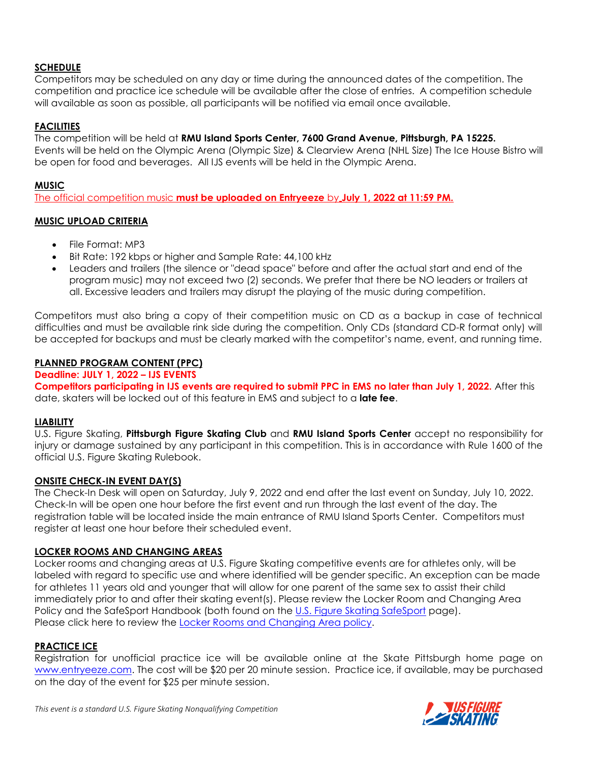# **SCHEDULE**

Competitors may be scheduled on any day or time during the announced dates of the competition. The competition and practice ice schedule will be available after the close of entries. A competition schedule will available as soon as possible, all participants will be notified via email once available.

# **FACILITIES**

The competition will be held at **RMU Island Sports Center, 7600 Grand Avenue, Pittsburgh, PA 15225.** Events will be held on the Olympic Arena (Olympic Size) & Clearview Arena (NHL Size) The Ice House Bistro will be open for food and beverages. All IJS events will be held in the Olympic Arena.

# **MUSIC**

The official competition music **must be uploaded on Entryeeze** by **July 1, 2022 at 11:59 PM.**

# **MUSIC UPLOAD CRITERIA**

- File Format: MP3
- Bit Rate: 192 kbps or higher and Sample Rate: 44,100 kHz
- Leaders and trailers (the silence or "dead space" before and after the actual start and end of the program music) may not exceed two (2) seconds. We prefer that there be NO leaders or trailers at all. Excessive leaders and trailers may disrupt the playing of the music during competition.

Competitors must also bring a copy of their competition music on CD as a backup in case of technical difficulties and must be available rink side during the competition. Only CDs (standard CD-R format only) will be accepted for backups and must be clearly marked with the competitor's name, event, and running time.

# **PLANNED PROGRAM CONTENT (PPC)**

#### **Deadline: JULY 1, 2022 – IJS EVENTS**

**Competitors participating in IJS events are required to submit PPC in EMS no later than July 1, 2022.** After this date, skaters will be locked out of this feature in EMS and subject to a **late fee**.

# **LIABILITY**

U.S. Figure Skating, **Pittsburgh Figure Skating Club** and **RMU Island Sports Center** accept no responsibility for injury or damage sustained by any participant in this competition. This is in accordance with Rule 1600 of the official U.S. Figure Skating Rulebook.

# **ONSITE CHECK-IN EVENT DAY(S)**

The Check-In Desk will open on Saturday, July 9, 2022 and end after the last event on Sunday, July 10, 2022. Check-In will be open one hour before the first event and run through the last event of the day. The registration table will be located inside the main entrance of RMU Island Sports Center. Competitors must register at least one hour before their scheduled event.

# **LOCKER ROOMS AND CHANGING AREAS**

Locker rooms and changing areas at U.S. Figure Skating competitive events are for athletes only, will be labeled with regard to specific use and where identified will be gender specific. An exception can be made for athletes 11 years old and younger that will allow for one parent of the same sex to assist their child immediately prior to and after their skating event(s). Please review the Locker Room and Changing Area Policy and the SafeSport Handbook (both found on the [U.S. Figure Skating SafeSport](https://www.usfigureskating.org/safesport) page). Please click here to review the [Locker Rooms and Changing Area policy.](https://usfigureskating.org/sites/default/files/media-files/U.S.%20Figure%20Skating%20Locker%20Room%20Policy.pdf)

# **PRACTICE ICE**

Registration for unofficial practice ice will be available online at the Skate Pittsburgh home page on [www.entryeeze.com.](http://comp.entryeeze.com/Home.aspx?cid=245) The cost will be \$20 per 20 minute session. Practice ice, if available, may be purchased on the day of the event for \$25 per minute session.

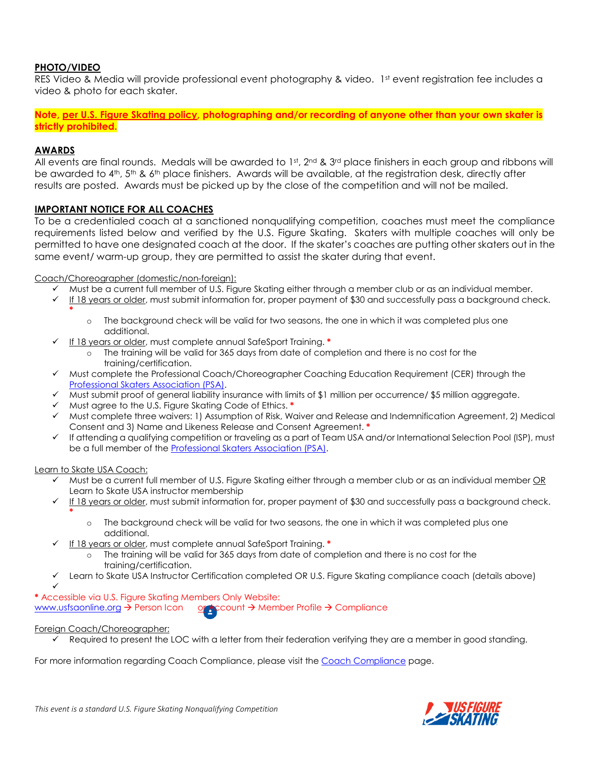#### **PHOTO/VIDEO**

RES Video & Media will provide professional event photography & video. 1st event registration fee includes a video & photo for each skater.

**Note, [per U.S. Figure Skating policy,](https://public.3.basecamp.com/p/EsWCNMRdrZ3qJs6LsB9RM9Vf) photographing and/or recording of anyone other than your own skater is strictly prohibited.**

#### **AWARDS**

**\***

All events are final rounds. Medals will be awarded to  $1st$ ,  $2nd$  &  $3rd$  place finishers in each group and ribbons will be awarded to 4<sup>th</sup>, 5<sup>th</sup> & 6<sup>th</sup> place finishers. Awards will be available, at the registration desk, directly after results are posted. Awards must be picked up by the close of the competition and will not be mailed.

#### **IMPORTANT NOTICE FOR ALL COACHES**

To be a credentialed coach at a sanctioned nonqualifying competition, coaches must meet the compliance requirements listed below and verified by the U.S. Figure Skating. Skaters with multiple coaches will only be permitted to have one designated coach at the door. If the skater's coaches are putting other skaters out in the same event/ warm-up group, they are permitted to assist the skater during that event.

Coach/Choreographer (domestic/non-foreign):

- $\checkmark$  Must be a current full member of U.S. Figure Skating either through a member club or as an individual member.
- √ If 18 years or older, must submit information for, proper payment of \$30 and successfully pass a background check.
	- o The background check will be valid for two seasons, the one in which it was completed plus one additional.
- If 18 years or older, must complete annual SafeSport Training. **\***
	- The training will be valid for 365 days from date of completion and there is no cost for the training/certification.
- $\checkmark$  Must complete the Professional Coach/Choreographer Coaching Education Requirement (CER) through the [Professional Skaters Association \(PSA\).](https://skatepsa.com/compliance)
- $\checkmark$  Must submit proof of general liability insurance with limits of \$1 million per occurrence/ \$5 million aggregate.
- Must agree to the U.S. Figure Skating Code of Ethics. **\***
- $\checkmark$  Must complete three waivers: 1) Assumption of Risk, Waiver and Release and Indemnification Agreement, 2) Medical Consent and 3) Name and Likeness Release and Consent Agreement. **\***
- $\checkmark$  If attending a qualifying competition or traveling as a part of Team USA and/or International Selection Pool (ISP), must be a full member of th[e Professional Skaters Association \(PSA\).](https://skatepsa.com/membership)

Learn to Skate USA Coach:

- $\checkmark$  Must be a current full member of U.S. Figure Skating either through a member club or as an individual member OR Learn to Skate USA instructor membership
- $\checkmark$  If 18 years or older, must submit information for, proper payment of \$30 and successfully pass a background check. **\***
	- o The background check will be valid for two seasons, the one in which it was completed plus one additional.
- If 18 years or older, must complete annual SafeSport Training. **\***
	- o The training will be valid for 365 days from date of completion and there is no cost for the training/certification.
- Learn to Skate USA Instructor Certification completed OR U.S. Figure Skating compliance coach (details above)

 $\checkmark$ **\*** Accessible via U.S. Figure Skating Members Only Website:

[www.usfsaonline.org](http://www.usfsaonline.org/) > Person Icon or Account > Member Profile > Compliance

#### Foreign Coach/Choreographer:

Required to present the LOC with a letter from their federation verifying they are a member in good standing.

For more information regarding Coach Compliance, please visit th[e Coach Compliance](https://www.usfigureskating.org/support/coach/coach-compliance) page.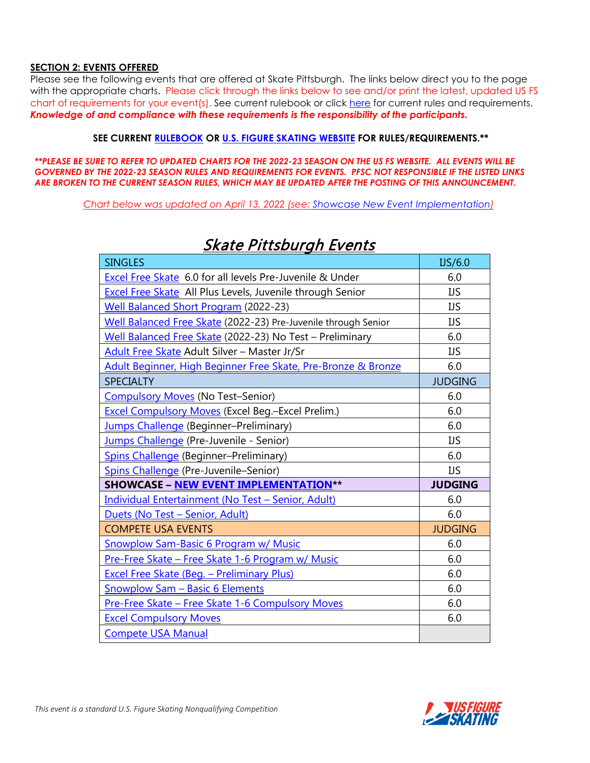# **SECTION 2: EVENTS OFFERED**

Please see the following events that are offered at Skate Pittsburgh. The links below direct you to the page with the appropriate charts. Please click through the links below to see and/or print the latest, updated US FS chart of requirements for your event(s). See current rulebook or click [here](https://www.usfigureskating.org/about/rules) for current rules and requirements. *Knowledge of and compliance with these requirements is the responsibility of the participants.*

#### **SEE CURRENT [RULEBOOK](https://www.usfigureskating.org/about/rules) OR [U.S. FIGURE SKATING WEBSITE](http://www.usfsaonline.org/) FOR RULES/REQUIREMENTS.\*\***

*\*\*PLEASE BE SURE TO REFER TO UPDATED CHARTS FOR THE 2022-23 SEASON ON THE US FS WEBSITE. ALL EVENTS WILL BE GOVERNED BY THE 2022-23 SEASON RULES AND REQUIREMENTS FOR EVENTS. PFSC NOT RESPONSIBLE IF THE LISTED LINKS ARE BROKEN TO THE CURRENT SEASON RULES, WHICH MAY BE UPDATED AFTER THE POSTING OF THIS ANNOUNCEMENT.*

*Chart below was updated on April 13, 2022 (see: [Showcase New Event Implementation\)](https://public.3.basecamp.com/p/ocKBChcwnJzMATFsMDv5Bq85)*

| <b>SINGLES</b>                                                   | US/6.0         |
|------------------------------------------------------------------|----------------|
| Excel Free Skate 6.0 for all levels Pre-Juvenile & Under         | 6.0            |
| <b>Excel Free Skate</b> All Plus Levels, Juvenile through Senior | <b>IJS</b>     |
| <b>Well Balanced Short Program (2022-23)</b>                     | <b>IJS</b>     |
| Well Balanced Free Skate (2022-23) Pre-Juvenile through Senior   | IJS            |
| Well Balanced Free Skate (2022-23) No Test - Preliminary         | 6.0            |
| Adult Free Skate Adult Silver - Master Jr/Sr                     | IJS            |
| Adult Beginner, High Beginner Free Skate, Pre-Bronze & Bronze    | 6.0            |
| <b>SPECIALTY</b>                                                 | <b>JUDGING</b> |
| <b>Compulsory Moves (No Test-Senior)</b>                         | 6.0            |
| <b>Excel Compulsory Moves (Excel Beg.-Excel Prelim.)</b>         | 6.0            |
| Jumps Challenge (Beginner-Preliminary)                           | 6.0            |
| Jumps Challenge (Pre-Juvenile - Senior)                          | <b>IJS</b>     |
| <b>Spins Challenge (Beginner-Preliminary)</b>                    | 6.0            |
| Spins Challenge (Pre-Juvenile-Senior)                            | <b>IJS</b>     |
| <b>SHOWCASE - NEW EVENT IMPLEMENTATION**</b>                     | <b>JUDGING</b> |
| Individual Entertainment (No Test - Senior, Adult)               | 6.0            |
|                                                                  |                |
| Duets (No Test - Senior, Adult)                                  | 6.0            |
| <b>COMPETE USA EVENTS</b>                                        | <b>JUDGING</b> |
| <b>Snowplow Sam-Basic 6 Program w/ Music</b>                     | 6.0            |
| Pre-Free Skate - Free Skate 1-6 Program w/ Music                 | 6.0            |
| <b>Excel Free Skate (Beg. - Preliminary Plus)</b>                | 6.0            |
| <b>Snowplow Sam - Basic 6 Elements</b>                           | 6.0            |
| Pre-Free Skate - Free Skate 1-6 Compulsory Moves                 | 6.0            |
| <b>Excel Compulsory Moves</b>                                    | 6.0            |

# Skate Pittsburgh Events